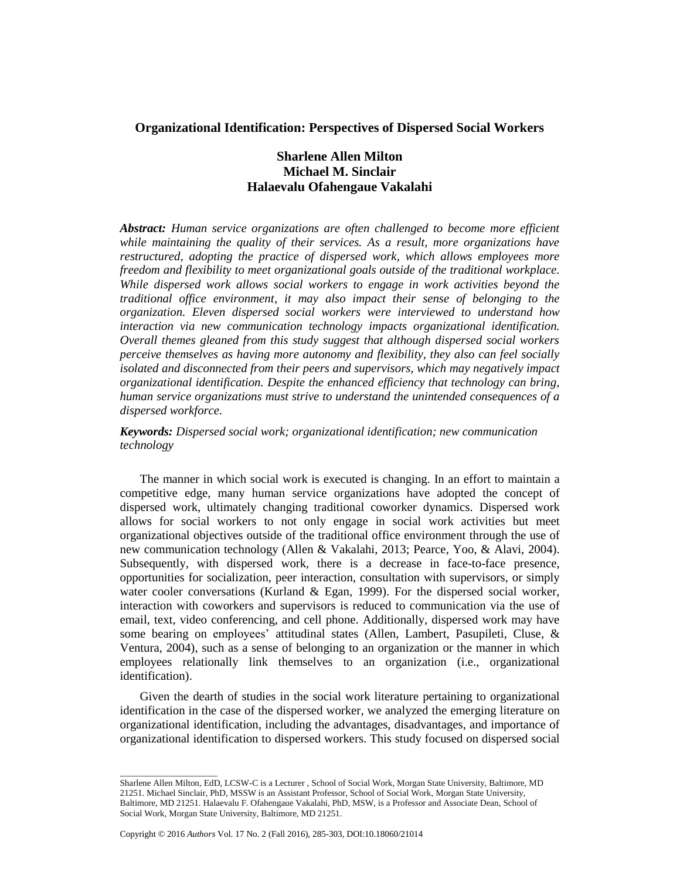# **Organizational Identification: Perspectives of Dispersed Social Workers**

# **Sharlene Allen Milton Michael M. Sinclair Halaevalu Ofahengaue Vakalahi**

*Abstract: Human service organizations are often challenged to become more efficient while maintaining the quality of their services. As a result, more organizations have restructured, adopting the practice of dispersed work, which allows employees more freedom and flexibility to meet organizational goals outside of the traditional workplace. While dispersed work allows social workers to engage in work activities beyond the traditional office environment, it may also impact their sense of belonging to the organization. Eleven dispersed social workers were interviewed to understand how interaction via new communication technology impacts organizational identification. Overall themes gleaned from this study suggest that although dispersed social workers perceive themselves as having more autonomy and flexibility, they also can feel socially isolated and disconnected from their peers and supervisors, which may negatively impact organizational identification. Despite the enhanced efficiency that technology can bring, human service organizations must strive to understand the unintended consequences of a dispersed workforce.*

*Keywords: Dispersed social work; organizational identification; new communication technology*

The manner in which social work is executed is changing. In an effort to maintain a competitive edge, many human service organizations have adopted the concept of dispersed work, ultimately changing traditional coworker dynamics. Dispersed work allows for social workers to not only engage in social work activities but meet organizational objectives outside of the traditional office environment through the use of new communication technology (Allen & Vakalahi, 2013; Pearce, Yoo, & Alavi, 2004). Subsequently, with dispersed work, there is a decrease in face-to-face presence, opportunities for socialization, peer interaction, consultation with supervisors, or simply water cooler conversations (Kurland  $&$  Egan, 1999). For the dispersed social worker, interaction with coworkers and supervisors is reduced to communication via the use of email, text, video conferencing, and cell phone. Additionally, dispersed work may have some bearing on employees' attitudinal states (Allen, Lambert, Pasupileti, Cluse, & Ventura, 2004), such as a sense of belonging to an organization or the manner in which employees relationally link themselves to an organization (i.e., organizational identification).

Given the dearth of studies in the social work literature pertaining to organizational identification in the case of the dispersed worker, we analyzed the emerging literature on organizational identification, including the advantages, disadvantages, and importance of organizational identification to dispersed workers. This study focused on dispersed social

\_\_\_\_\_\_\_\_\_\_\_\_\_\_\_\_\_\_\_\_\_\_

Sharlene Allen Milton, EdD, LCSW-C is a Lecturer , School of Social Work, Morgan State University, Baltimore, MD 21251. Michael Sinclair, PhD, MSSW is an Assistant Professor, School of Social Work, Morgan State University, Baltimore, MD 21251. Halaevalu F. Ofahengaue Vakalahi, PhD, MSW, is a Professor and Associate Dean, School of Social Work, Morgan State University, Baltimore, MD 21251.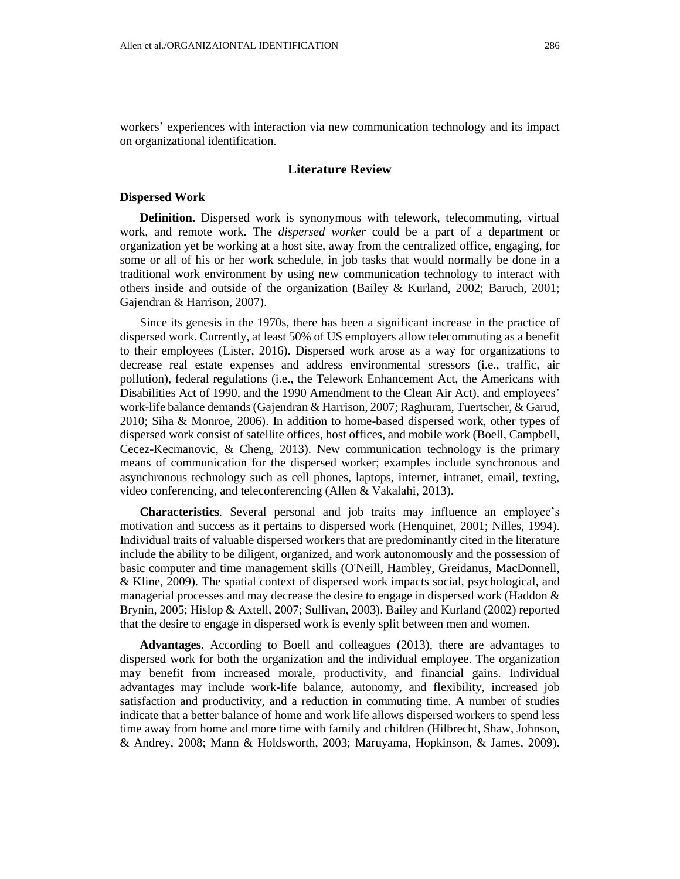workers' experiences with interaction via new communication technology and its impact on organizational identification.

#### **Literature Review**

#### **Dispersed Work**

**Definition.** Dispersed work is synonymous with telework, telecommuting, virtual work, and remote work. The *dispersed worker* could be a part of a department or organization yet be working at a host site, away from the centralized office, engaging, for some or all of his or her work schedule, in job tasks that would normally be done in a traditional work environment by using new communication technology to interact with others inside and outside of the organization (Bailey & Kurland, 2002; Baruch, 2001; Gajendran & Harrison, 2007).

Since its genesis in the 1970s, there has been a significant increase in the practice of dispersed work. Currently, at least 50% of US employers allow telecommuting as a benefit to their employees (Lister, 2016). Dispersed work arose as a way for organizations to decrease real estate expenses and address environmental stressors (i.e., traffic, air pollution), federal regulations (i.e., the Telework Enhancement Act, the Americans with Disabilities Act of 1990, and the 1990 Amendment to the Clean Air Act), and employees' work-life balance demands(Gajendran & Harrison, 2007; Raghuram, Tuertscher, & Garud, 2010; Siha & Monroe, 2006). In addition to home-based dispersed work, other types of dispersed work consist of satellite offices, host offices, and mobile work (Boell, Campbell, Cecez-Kecmanovic, & Cheng, 2013). New communication technology is the primary means of communication for the dispersed worker; examples include synchronous and asynchronous technology such as cell phones, laptops, internet, intranet, email, texting, video conferencing, and teleconferencing (Allen & Vakalahi, 2013).

**Characteristics***.* Several personal and job traits may influence an employee's motivation and success as it pertains to dispersed work (Henquinet, 2001; Nilles, 1994). Individual traits of valuable dispersed workers that are predominantly cited in the literature include the ability to be diligent, organized, and work autonomously and the possession of basic computer and time management skills (O'Neill, Hambley, Greidanus, MacDonnell, & Kline, 2009). The spatial context of dispersed work impacts social, psychological, and managerial processes and may decrease the desire to engage in dispersed work (Haddon  $\&$ Brynin, 2005; Hislop & Axtell, 2007; Sullivan, 2003). Bailey and Kurland (2002) reported that the desire to engage in dispersed work is evenly split between men and women.

**Advantages.** According to Boell and colleagues (2013), there are advantages to dispersed work for both the organization and the individual employee. The organization may benefit from increased morale, productivity, and financial gains. Individual advantages may include work-life balance, autonomy, and flexibility, increased job satisfaction and productivity, and a reduction in commuting time. A number of studies indicate that a better balance of home and work life allows dispersed workers to spend less time away from home and more time with family and children (Hilbrecht, Shaw, Johnson, & Andrey, 2008; Mann & Holdsworth, 2003; Maruyama, Hopkinson, & James, 2009).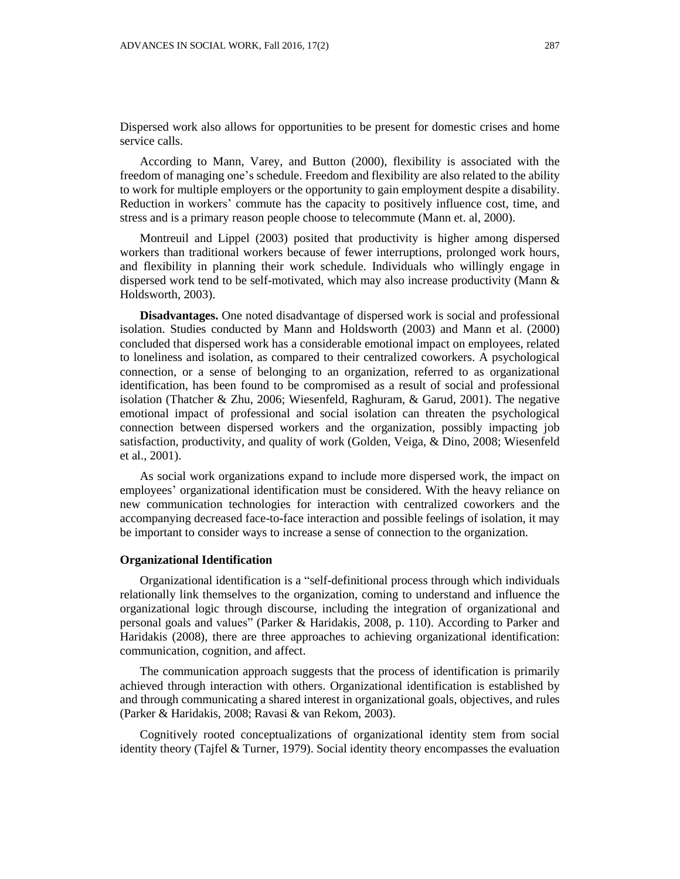Dispersed work also allows for opportunities to be present for domestic crises and home service calls.

According to Mann, Varey, and Button (2000), flexibility is associated with the freedom of managing one's schedule. Freedom and flexibility are also related to the ability to work for multiple employers or the opportunity to gain employment despite a disability. Reduction in workers' commute has the capacity to positively influence cost, time, and stress and is a primary reason people choose to telecommute (Mann et. al, 2000).

Montreuil and Lippel (2003) posited that productivity is higher among dispersed workers than traditional workers because of fewer interruptions, prolonged work hours, and flexibility in planning their work schedule. Individuals who willingly engage in dispersed work tend to be self-motivated, which may also increase productivity (Mann & Holdsworth, 2003).

**Disadvantages.** One noted disadvantage of dispersed work is social and professional isolation. Studies conducted by Mann and Holdsworth (2003) and Mann et al. (2000) concluded that dispersed work has a considerable emotional impact on employees, related to loneliness and isolation, as compared to their centralized coworkers. A psychological connection, or a sense of belonging to an organization, referred to as organizational identification, has been found to be compromised as a result of social and professional isolation (Thatcher & Zhu, 2006; Wiesenfeld, Raghuram, & Garud, 2001). The negative emotional impact of professional and social isolation can threaten the psychological connection between dispersed workers and the organization, possibly impacting job satisfaction, productivity, and quality of work (Golden, Veiga, & Dino, 2008; Wiesenfeld et al., 2001).

As social work organizations expand to include more dispersed work, the impact on employees' organizational identification must be considered. With the heavy reliance on new communication technologies for interaction with centralized coworkers and the accompanying decreased face-to-face interaction and possible feelings of isolation, it may be important to consider ways to increase a sense of connection to the organization.

#### **Organizational Identification**

Organizational identification is a "self-definitional process through which individuals relationally link themselves to the organization, coming to understand and influence the organizational logic through discourse, including the integration of organizational and personal goals and values" (Parker & Haridakis, 2008, p. 110). According to Parker and Haridakis (2008), there are three approaches to achieving organizational identification: communication, cognition, and affect.

The communication approach suggests that the process of identification is primarily achieved through interaction with others. Organizational identification is established by and through communicating a shared interest in organizational goals, objectives, and rules (Parker & Haridakis, 2008; Ravasi & van Rekom, 2003).

Cognitively rooted conceptualizations of organizational identity stem from social identity theory (Tajfel & Turner, 1979). Social identity theory encompasses the evaluation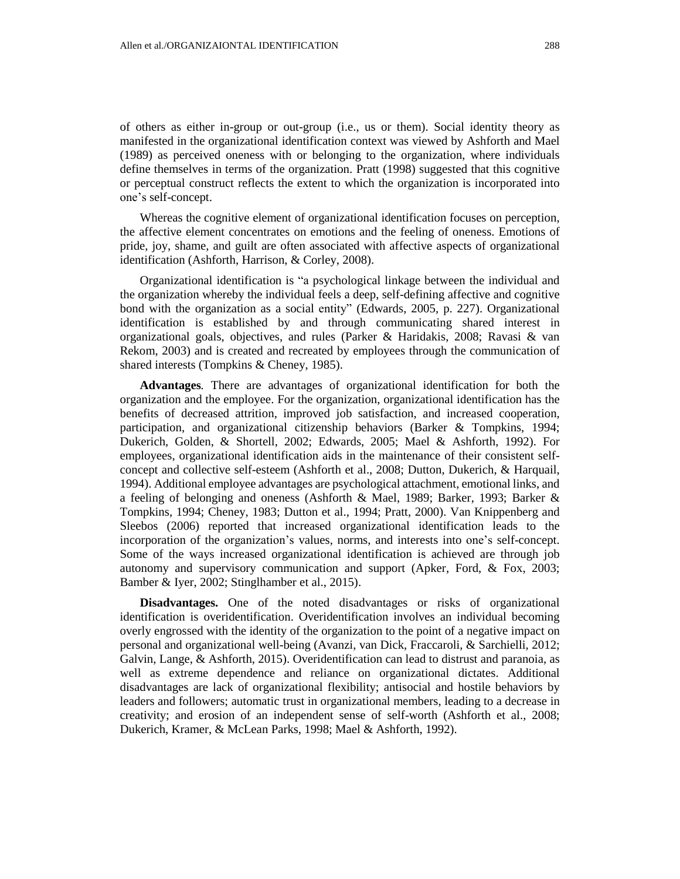of others as either in-group or out-group (i.e., us or them). Social identity theory as manifested in the organizational identification context was viewed by Ashforth and Mael (1989) as perceived oneness with or belonging to the organization, where individuals define themselves in terms of the organization. Pratt (1998) suggested that this cognitive or perceptual construct reflects the extent to which the organization is incorporated into one's self-concept.

Whereas the cognitive element of organizational identification focuses on perception, the affective element concentrates on emotions and the feeling of oneness. Emotions of pride, joy, shame, and guilt are often associated with affective aspects of organizational identification (Ashforth, Harrison, & Corley, 2008).

Organizational identification is "a psychological linkage between the individual and the organization whereby the individual feels a deep, self-defining affective and cognitive bond with the organization as a social entity" (Edwards, 2005, p. 227). Organizational identification is established by and through communicating shared interest in organizational goals, objectives, and rules (Parker & Haridakis, 2008; Ravasi & van Rekom, 2003) and is created and recreated by employees through the communication of shared interests (Tompkins & Cheney, 1985).

**Advantages***.* There are advantages of organizational identification for both the organization and the employee. For the organization, organizational identification has the benefits of decreased attrition, improved job satisfaction, and increased cooperation, participation, and organizational citizenship behaviors (Barker & Tompkins, 1994; Dukerich, Golden, & Shortell, 2002; Edwards, 2005; Mael & Ashforth, 1992). For employees, organizational identification aids in the maintenance of their consistent selfconcept and collective self-esteem (Ashforth et al., 2008; Dutton, Dukerich, & Harquail, 1994). Additional employee advantages are psychological attachment, emotional links, and a feeling of belonging and oneness (Ashforth & Mael, 1989; Barker, 1993; Barker & Tompkins, 1994; Cheney, 1983; Dutton et al., 1994; Pratt, 2000). Van Knippenberg and Sleebos (2006) reported that increased organizational identification leads to the incorporation of the organization's values, norms, and interests into one's self-concept. Some of the ways increased organizational identification is achieved are through job autonomy and supervisory communication and support (Apker, Ford, & Fox, 2003; Bamber & Iyer, 2002; Stinglhamber et al., 2015).

**Disadvantages.** One of the noted disadvantages or risks of organizational identification is overidentification. Overidentification involves an individual becoming overly engrossed with the identity of the organization to the point of a negative impact on personal and organizational well-being (Avanzi, van Dick, Fraccaroli, & Sarchielli, 2012; Galvin, Lange, & Ashforth, 2015). Overidentification can lead to distrust and paranoia, as well as extreme dependence and reliance on organizational dictates. Additional disadvantages are lack of organizational flexibility; antisocial and hostile behaviors by leaders and followers; automatic trust in organizational members, leading to a decrease in creativity; and erosion of an independent sense of self-worth (Ashforth et al., 2008; Dukerich, Kramer, & McLean Parks, 1998; Mael & Ashforth, 1992).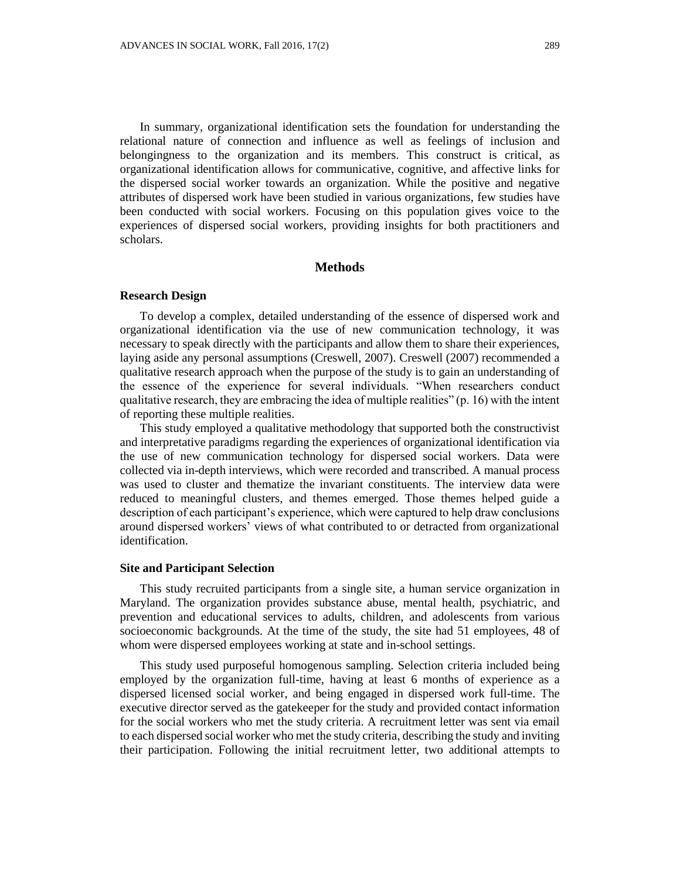In summary, organizational identification sets the foundation for understanding the relational nature of connection and influence as well as feelings of inclusion and belongingness to the organization and its members. This construct is critical, as organizational identification allows for communicative, cognitive, and affective links for the dispersed social worker towards an organization. While the positive and negative attributes of dispersed work have been studied in various organizations, few studies have been conducted with social workers. Focusing on this population gives voice to the experiences of dispersed social workers, providing insights for both practitioners and scholars.

# **Methods**

#### **Research Design**

To develop a complex, detailed understanding of the essence of dispersed work and organizational identification via the use of new communication technology, it was necessary to speak directly with the participants and allow them to share their experiences, laying aside any personal assumptions (Creswell, 2007). Creswell (2007) recommended a qualitative research approach when the purpose of the study is to gain an understanding of the essence of the experience for several individuals. "When researchers conduct qualitative research, they are embracing the idea of multiple realities" (p. 16) with the intent of reporting these multiple realities.

This study employed a qualitative methodology that supported both the constructivist and interpretative paradigms regarding the experiences of organizational identification via the use of new communication technology for dispersed social workers. Data were collected via in-depth interviews, which were recorded and transcribed. A manual process was used to cluster and thematize the invariant constituents. The interview data were reduced to meaningful clusters, and themes emerged. Those themes helped guide a description of each participant's experience, which were captured to help draw conclusions around dispersed workers' views of what contributed to or detracted from organizational identification.

#### **Site and Participant Selection**

This study recruited participants from a single site, a human service organization in Maryland. The organization provides substance abuse, mental health, psychiatric, and prevention and educational services to adults, children, and adolescents from various socioeconomic backgrounds. At the time of the study, the site had 51 employees, 48 of whom were dispersed employees working at state and in-school settings.

This study used purposeful homogenous sampling. Selection criteria included being employed by the organization full-time, having at least 6 months of experience as a dispersed licensed social worker, and being engaged in dispersed work full-time. The executive director served as the gatekeeper for the study and provided contact information for the social workers who met the study criteria. A recruitment letter was sent via email to each dispersed social worker who met the study criteria, describing the study and inviting their participation. Following the initial recruitment letter, two additional attempts to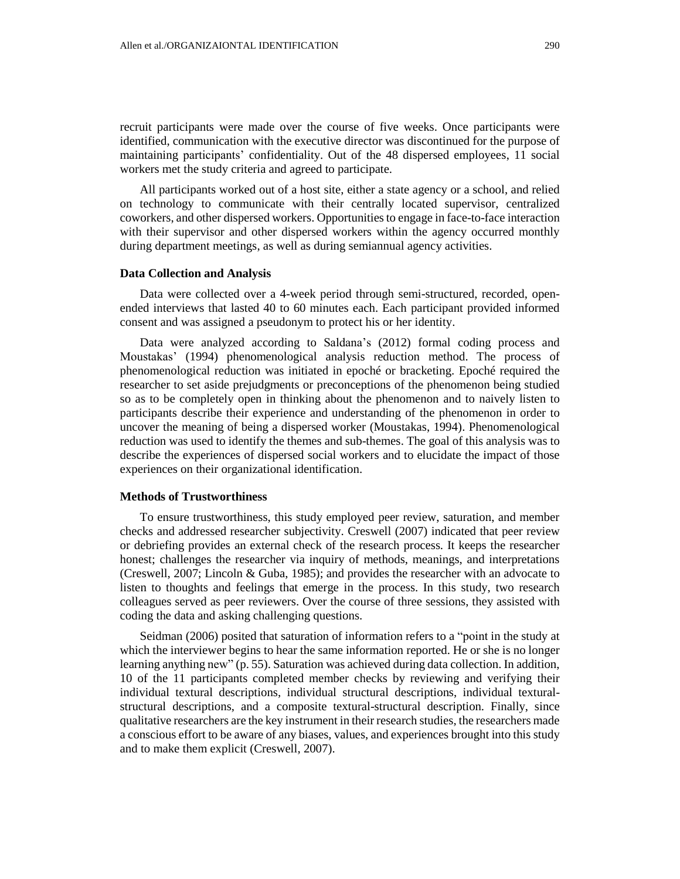recruit participants were made over the course of five weeks. Once participants were identified, communication with the executive director was discontinued for the purpose of maintaining participants' confidentiality. Out of the 48 dispersed employees, 11 social workers met the study criteria and agreed to participate.

All participants worked out of a host site, either a state agency or a school, and relied on technology to communicate with their centrally located supervisor, centralized coworkers, and other dispersed workers. Opportunitiesto engage in face-to-face interaction with their supervisor and other dispersed workers within the agency occurred monthly during department meetings, as well as during semiannual agency activities.

#### **Data Collection and Analysis**

Data were collected over a 4-week period through semi-structured, recorded, openended interviews that lasted 40 to 60 minutes each. Each participant provided informed consent and was assigned a pseudonym to protect his or her identity.

Data were analyzed according to Saldana's (2012) formal coding process and Moustakas' (1994) phenomenological analysis reduction method. The process of phenomenological reduction was initiated in epoché or bracketing. Epoché required the researcher to set aside prejudgments or preconceptions of the phenomenon being studied so as to be completely open in thinking about the phenomenon and to naively listen to participants describe their experience and understanding of the phenomenon in order to uncover the meaning of being a dispersed worker (Moustakas, 1994). Phenomenological reduction was used to identify the themes and sub-themes. The goal of this analysis was to describe the experiences of dispersed social workers and to elucidate the impact of those experiences on their organizational identification.

#### **Methods of Trustworthiness**

To ensure trustworthiness, this study employed peer review, saturation, and member checks and addressed researcher subjectivity. Creswell (2007) indicated that peer review or debriefing provides an external check of the research process. It keeps the researcher honest; challenges the researcher via inquiry of methods, meanings, and interpretations (Creswell, 2007; Lincoln & Guba, 1985); and provides the researcher with an advocate to listen to thoughts and feelings that emerge in the process. In this study, two research colleagues served as peer reviewers. Over the course of three sessions, they assisted with coding the data and asking challenging questions.

Seidman (2006) posited that saturation of information refers to a "point in the study at which the interviewer begins to hear the same information reported. He or she is no longer learning anything new" (p. 55). Saturation was achieved during data collection. In addition, 10 of the 11 participants completed member checks by reviewing and verifying their individual textural descriptions, individual structural descriptions, individual texturalstructural descriptions, and a composite textural-structural description. Finally, since qualitative researchers are the key instrument in their research studies, the researchers made a conscious effort to be aware of any biases, values, and experiences brought into this study and to make them explicit (Creswell, 2007).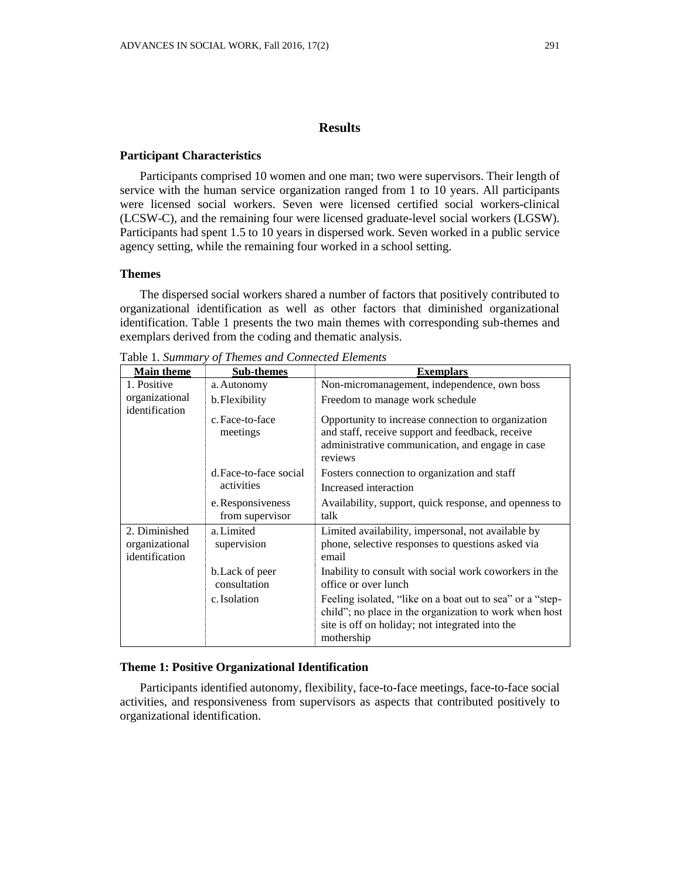#### **Participant Characteristics**

Participants comprised 10 women and one man; two were supervisors. Their length of service with the human service organization ranged from 1 to 10 years. All participants were licensed social workers. Seven were licensed certified social workers-clinical (LCSW-C), and the remaining four were licensed graduate-level social workers (LGSW). Participants had spent 1.5 to 10 years in dispersed work. Seven worked in a public service agency setting, while the remaining four worked in a school setting.

# **Themes**

The dispersed social workers shared a number of factors that positively contributed to organizational identification as well as other factors that diminished organizational identification. Table 1 presents the two main themes with corresponding sub-themes and exemplars derived from the coding and thematic analysis.

| <b>Main theme</b>                                 | <b>Sub-themes</b>                    | <b>Exemplars</b>                                                                                                                                                                     |
|---------------------------------------------------|--------------------------------------|--------------------------------------------------------------------------------------------------------------------------------------------------------------------------------------|
| 1. Positive<br>organizational<br>identification   | a. Autonomy                          | Non-micromanagement, independence, own boss                                                                                                                                          |
|                                                   | b. Flexibility                       | Freedom to manage work schedule                                                                                                                                                      |
|                                                   | c. Face-to-face<br>meetings          | Opportunity to increase connection to organization<br>and staff, receive support and feedback, receive<br>administrative communication, and engage in case<br>reviews                |
|                                                   | d. Face-to-face social               | Fosters connection to organization and staff                                                                                                                                         |
|                                                   | activities                           | Increased interaction                                                                                                                                                                |
|                                                   | e. Responsiveness<br>from supervisor | Availability, support, quick response, and openness to<br>talk                                                                                                                       |
| 2. Diminished<br>organizational<br>identification | a. Limited<br>supervision            | Limited availability, impersonal, not available by<br>phone, selective responses to questions asked via<br>email                                                                     |
|                                                   | b. Lack of peer<br>consultation      | Inability to consult with social work coworkers in the<br>office or over lunch                                                                                                       |
|                                                   | c. Isolation                         | Feeling isolated, "like on a boat out to sea" or a "step-<br>child"; no place in the organization to work when host<br>site is off on holiday; not integrated into the<br>mothership |

Table 1. *Summary of Themes and Connected Elements*

#### **Theme 1: Positive Organizational Identification**

Participants identified autonomy, flexibility, face-to-face meetings, face-to-face social activities, and responsiveness from supervisors as aspects that contributed positively to organizational identification.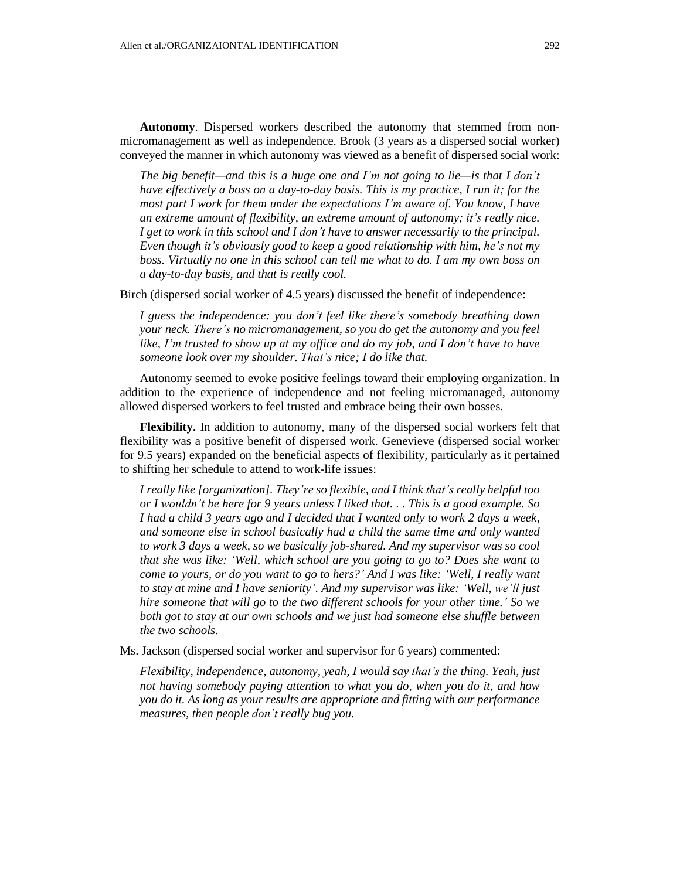**Autonomy**. Dispersed workers described the autonomy that stemmed from nonmicromanagement as well as independence. Brook (3 years as a dispersed social worker) conveyed the manner in which autonomy was viewed as a benefit of dispersed social work:

*The big benefit—and this is a huge one and I'm not going to lie—is that I don't have effectively a boss on a day-to-day basis. This is my practice, I run it; for the most part I work for them under the expectations I'm aware of. You know, I have an extreme amount of flexibility, an extreme amount of autonomy; it's really nice. I get to work in this school and I don't have to answer necessarily to the principal. Even though it's obviously good to keep a good relationship with him, he's not my boss. Virtually no one in this school can tell me what to do. I am my own boss on a day-to-day basis, and that is really cool.*

Birch (dispersed social worker of 4.5 years) discussed the benefit of independence:

*I guess the independence: you don't feel like there's somebody breathing down your neck. There's no micromanagement, so you do get the autonomy and you feel like, I'm trusted to show up at my office and do my job, and I don't have to have someone look over my shoulder. That's nice; I do like that.*

Autonomy seemed to evoke positive feelings toward their employing organization. In addition to the experience of independence and not feeling micromanaged, autonomy allowed dispersed workers to feel trusted and embrace being their own bosses.

**Flexibility.** In addition to autonomy, many of the dispersed social workers felt that flexibility was a positive benefit of dispersed work. Genevieve (dispersed social worker for 9.5 years) expanded on the beneficial aspects of flexibility, particularly as it pertained to shifting her schedule to attend to work-life issues:

*I really like [organization]. They're so flexible, and I think that's really helpful too* or I wouldn't be here for 9 years unless I liked that... This is a good example. So *I had a child 3 years ago and I decided that I wanted only to work 2 days a week, and someone else in school basically had a child the same time and only wanted to work 3 days a week, so we basically job-shared. And my supervisor was so cool that she was like: 'Well, which school are you going to go to? Does she want to come to yours, or do you want to go to hers?' And I was like: 'Well, I really want to stay at mine and I have seniority'. And my supervisor was like: 'Well, we'll just hire someone that will go to the two different schools for your other time.' So we both got to stay at our own schools and we just had someone else shuffle between the two schools.*

Ms. Jackson (dispersed social worker and supervisor for 6 years) commented:

*Flexibility, independence, autonomy, yeah, I would say that's the thing. Yeah, just not having somebody paying attention to what you do, when you do it, and how you do it. As long as your results are appropriate and fitting with our performance measures, then people don't really bug you.*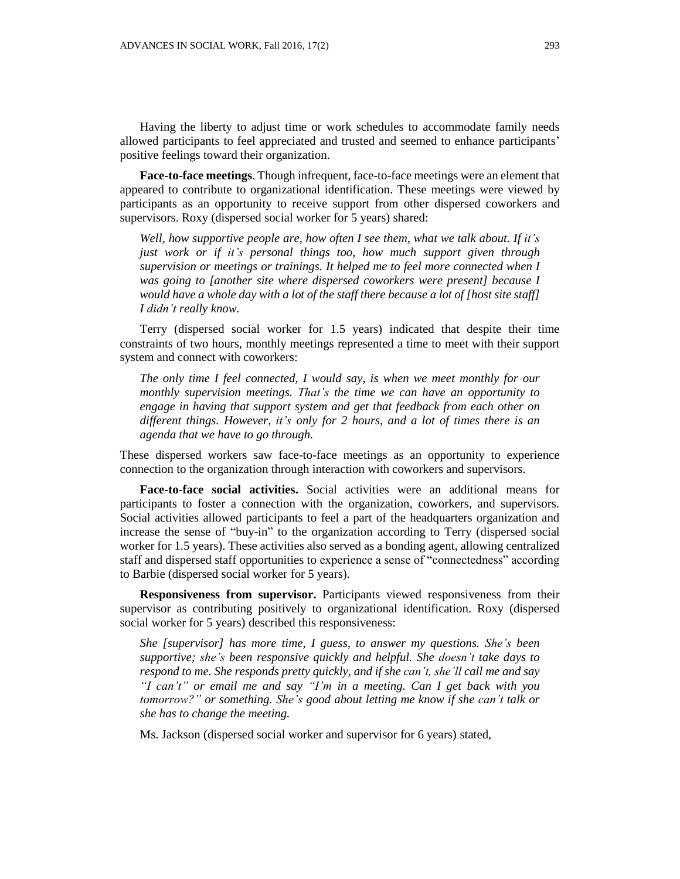Having the liberty to adjust time or work schedules to accommodate family needs allowed participants to feel appreciated and trusted and seemed to enhance participants' positive feelings toward their organization.

**Face-to-face meetings**. Though infrequent, face-to-face meetings were an element that appeared to contribute to organizational identification. These meetings were viewed by participants as an opportunity to receive support from other dispersed coworkers and supervisors. Roxy (dispersed social worker for 5 years) shared:

*Well, how supportive people are, how often I see them, what we talk about. If it's just work or if it's personal things too, how much support given through supervision or meetings or trainings. It helped me to feel more connected when I was going to [another site where dispersed coworkers were present] because I would have a whole day with a lot of the staff there because a lot of [host site staff] I didn't really know.*

Terry (dispersed social worker for 1.5 years) indicated that despite their time constraints of two hours, monthly meetings represented a time to meet with their support system and connect with coworkers:

*The only time I feel connected, I would say, is when we meet monthly for our monthly supervision meetings. That's the time we can have an opportunity to engage in having that support system and get that feedback from each other on different things. However, it's only for 2 hours, and a lot of times there is an agenda that we have to go through.*

These dispersed workers saw face-to-face meetings as an opportunity to experience connection to the organization through interaction with coworkers and supervisors.

**Face-to-face social activities.** Social activities were an additional means for participants to foster a connection with the organization, coworkers, and supervisors. Social activities allowed participants to feel a part of the headquarters organization and increase the sense of "buy-in" to the organization according to Terry (dispersed social worker for 1.5 years). These activities also served as a bonding agent, allowing centralized staff and dispersed staff opportunities to experience a sense of "connectedness" according to Barbie (dispersed social worker for 5 years).

**Responsiveness from supervisor.** Participants viewed responsiveness from their supervisor as contributing positively to organizational identification. Roxy (dispersed social worker for 5 years) described this responsiveness:

*She [supervisor] has more time, I guess, to answer my questions. She's been supportive; she's been responsive quickly and helpful. She doesn't take days to respond to me. She responds pretty quickly, and if she can't, she'll call me and say "I can't" or email me and say "I'm in a meeting. Can I get back with you tomorrow?" or something. She's good about letting me know if she can't talk or she has to change the meeting.*

Ms. Jackson (dispersed social worker and supervisor for 6 years) stated,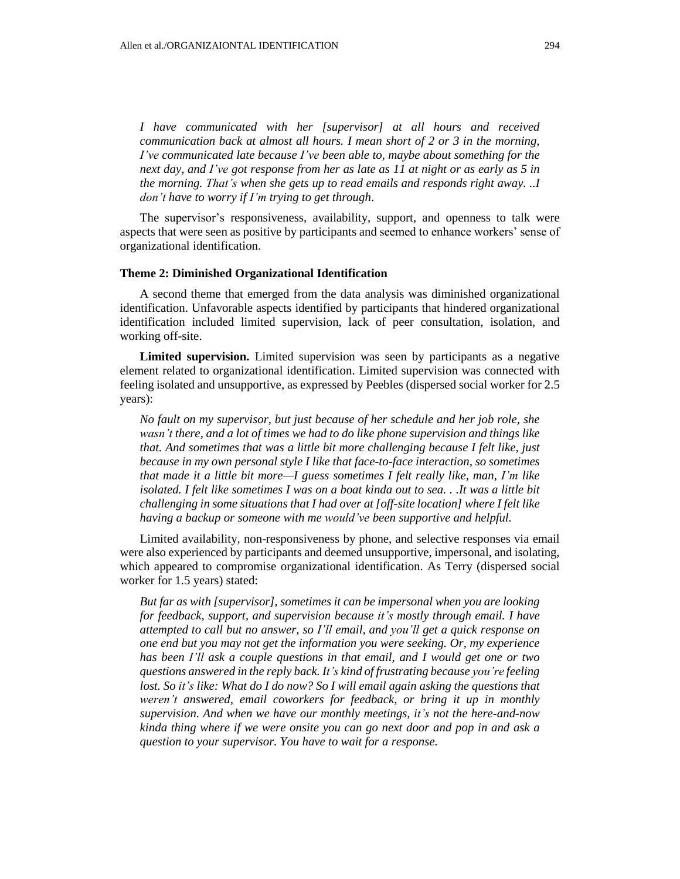*I have communicated with her [supervisor] at all hours and received communication back at almost all hours. I mean short of 2 or 3 in the morning, I've communicated late because I've been able to, maybe about something for the next day, and I've got response from her as late as 11 at night or as early as 5 in the morning. That's when she gets up to read emails and responds right away. ..I don't have to worry if I'm trying to get through*.

The supervisor's responsiveness, availability, support, and openness to talk were aspects that were seen as positive by participants and seemed to enhance workers' sense of organizational identification.

#### **Theme 2: Diminished Organizational Identification**

A second theme that emerged from the data analysis was diminished organizational identification. Unfavorable aspects identified by participants that hindered organizational identification included limited supervision, lack of peer consultation, isolation, and working off-site.

**Limited supervision.** Limited supervision was seen by participants as a negative element related to organizational identification. Limited supervision was connected with feeling isolated and unsupportive, as expressed by Peebles (dispersed social worker for 2.5 years):

*No fault on my supervisor, but just because of her schedule and her job role, she wasn't there, and a lot of times we had to do like phone supervision and things like that. And sometimes that was a little bit more challenging because I felt like, just because in my own personal style I like that face-to-face interaction, so sometimes that made it a little bit more—I guess sometimes I felt really like, man, I'm like isolated. I felt like sometimes I was on a boat kinda out to sea. . .It was a little bit challenging in some situations that I had over at [off-site location] where I felt like having a backup or someone with me would've been supportive and helpful.*

Limited availability, non-responsiveness by phone, and selective responses via email were also experienced by participants and deemed unsupportive, impersonal, and isolating, which appeared to compromise organizational identification. As Terry (dispersed social worker for 1.5 years) stated:

*But far as with [supervisor], sometimes it can be impersonal when you are looking for feedback, support, and supervision because it's mostly through email. I have attempted to call but no answer, so I'll email, and you'll get a quick response on one end but you may not get the information you were seeking. Or, my experience has been I'll ask a couple questions in that email, and I would get one or two questions answered in the reply back. It's kind of frustrating because you're feeling lost. So it's like: What do I do now? So I will email again asking the questions that weren't answered, email coworkers for feedback, or bring it up in monthly supervision. And when we have our monthly meetings, it's not the here-and-now kinda thing where if we were onsite you can go next door and pop in and ask a question to your supervisor. You have to wait for a response.*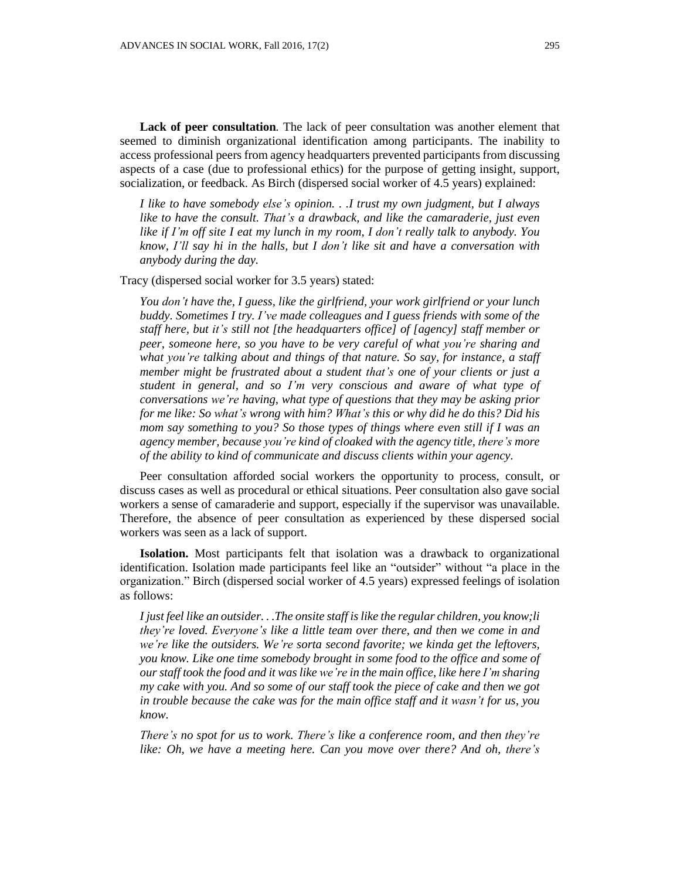**Lack of peer consultation***.* The lack of peer consultation was another element that seemed to diminish organizational identification among participants. The inability to access professional peers from agency headquarters prevented participants from discussing aspects of a case (due to professional ethics) for the purpose of getting insight, support, socialization, or feedback. As Birch (dispersed social worker of 4.5 years) explained:

*I like to have somebody else's opinion. . .I trust my own judgment, but I always like to have the consult. That's a drawback, and like the camaraderie, just even like if I'm off site I eat my lunch in my room, I don't really talk to anybody. You know, I'll say hi in the halls, but I don't like sit and have a conversation with anybody during the day.*

Tracy (dispersed social worker for 3.5 years) stated:

*You don't have the, I guess, like the girlfriend, your work girlfriend or your lunch buddy. Sometimes I try. I've made colleagues and I guess friends with some of the staff here, but it's still not [the headquarters office] of [agency] staff member or peer, someone here, so you have to be very careful of what you're sharing and what you're talking about and things of that nature. So say, for instance, a staff member might be frustrated about a student that's one of your clients or just a student in general, and so I'm very conscious and aware of what type of conversations we're having, what type of questions that they may be asking prior for me like: So what's wrong with him? What's this or why did he do this? Did his mom say something to you? So those types of things where even still if I was an agency member, because you're kind of cloaked with the agency title, there's more of the ability to kind of communicate and discuss clients within your agency.*

Peer consultation afforded social workers the opportunity to process, consult, or discuss cases as well as procedural or ethical situations. Peer consultation also gave social workers a sense of camaraderie and support, especially if the supervisor was unavailable. Therefore, the absence of peer consultation as experienced by these dispersed social workers was seen as a lack of support.

**Isolation.** Most participants felt that isolation was a drawback to organizational identification. Isolation made participants feel like an "outsider" without "a place in the organization." Birch (dispersed social worker of 4.5 years) expressed feelings of isolation as follows:

*I just feel like an outsider. . .The onsite staff islike the regular children, you know;li they're loved. Everyone's like a little team over there, and then we come in and we're like the outsiders. We're sorta second favorite; we kinda get the leftovers, you know. Like one time somebody brought in some food to the office and some of our staff took the food and it was like we're in the main office, like here I'm sharing my cake with you. And so some of our staff took the piece of cake and then we got in trouble because the cake was for the main office staff and it wasn't for us, you know.*

*There's no spot for us to work. There's like a conference room, and then they're like: Oh, we have a meeting here. Can you move over there? And oh, there's*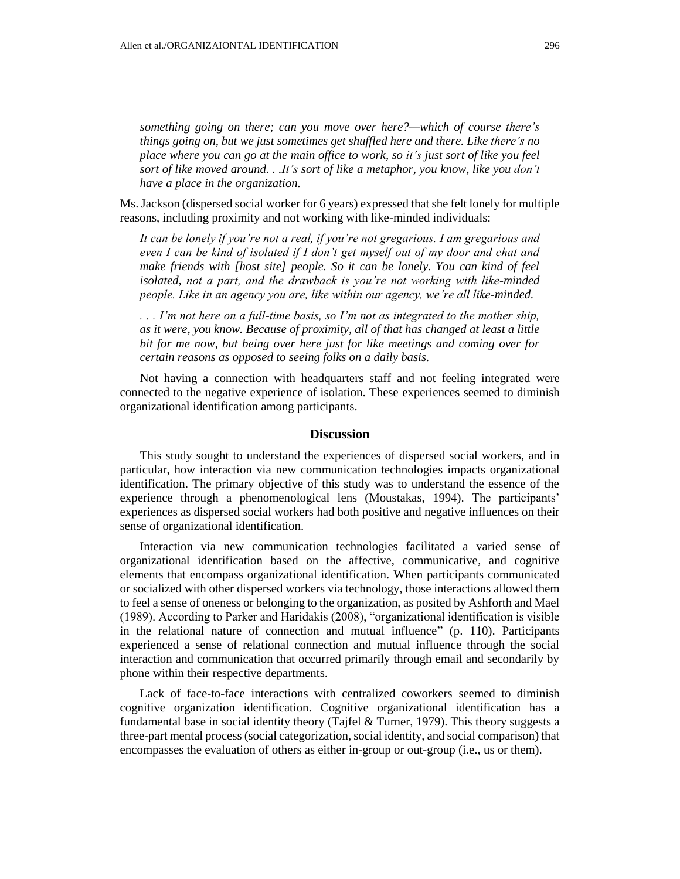*something going on there; can you move over here?—which of course there's things going on, but we just sometimes get shuffled here and there. Like there's no place where you can go at the main office to work, so it's just sort of like you feel sort of like moved around. . .It's sort of like a metaphor, you know, like you don't have a place in the organization.*

Ms. Jackson (dispersed social worker for 6 years) expressed that she felt lonely for multiple reasons, including proximity and not working with like-minded individuals:

*It can be lonely if you're not a real, if you're not gregarious. I am gregarious and even I can be kind of isolated if I don't get myself out of my door and chat and make friends with [host site] people. So it can be lonely. You can kind of feel isolated, not a part, and the drawback is you're not working with like-minded people. Like in an agency you are, like within our agency, we're all like-minded.* 

*. . . I'm not here on a full-time basis, so I'm not as integrated to the mother ship, as it were, you know. Because of proximity, all of that has changed at least a little bit for me now, but being over here just for like meetings and coming over for certain reasons as opposed to seeing folks on a daily basis.*

Not having a connection with headquarters staff and not feeling integrated were connected to the negative experience of isolation. These experiences seemed to diminish organizational identification among participants.

## **Discussion**

This study sought to understand the experiences of dispersed social workers, and in particular, how interaction via new communication technologies impacts organizational identification. The primary objective of this study was to understand the essence of the experience through a phenomenological lens (Moustakas, 1994). The participants' experiences as dispersed social workers had both positive and negative influences on their sense of organizational identification.

Interaction via new communication technologies facilitated a varied sense of organizational identification based on the affective, communicative, and cognitive elements that encompass organizational identification. When participants communicated or socialized with other dispersed workers via technology, those interactions allowed them to feel a sense of oneness or belonging to the organization, as posited by Ashforth and Mael (1989). According to Parker and Haridakis (2008), "organizational identification is visible in the relational nature of connection and mutual influence" (p. 110). Participants experienced a sense of relational connection and mutual influence through the social interaction and communication that occurred primarily through email and secondarily by phone within their respective departments.

Lack of face-to-face interactions with centralized coworkers seemed to diminish cognitive organization identification. Cognitive organizational identification has a fundamental base in social identity theory (Tajfel & Turner, 1979). This theory suggests a three-part mental process (social categorization, social identity, and social comparison) that encompasses the evaluation of others as either in-group or out-group (i.e., us or them).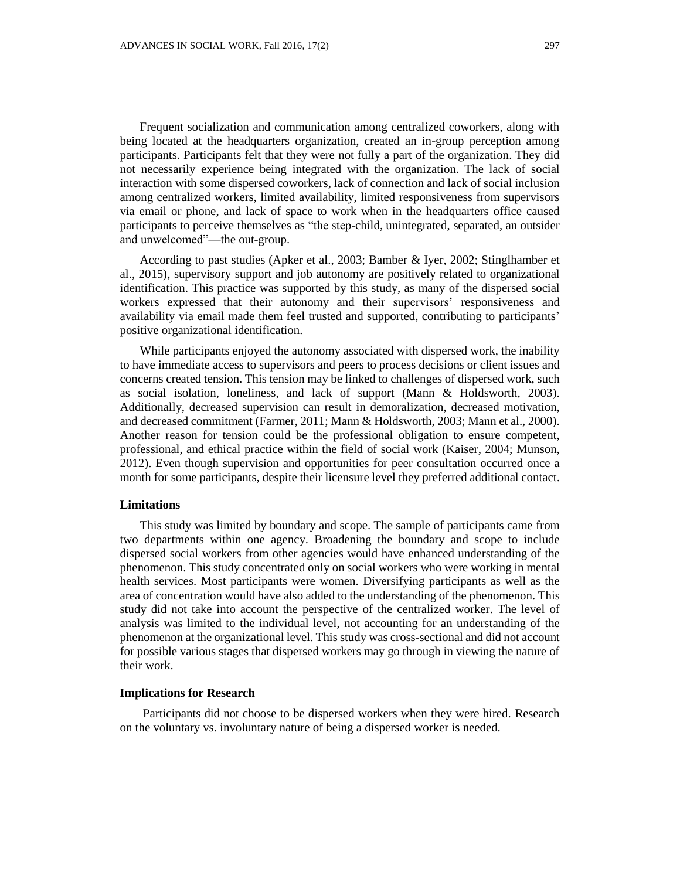Frequent socialization and communication among centralized coworkers, along with being located at the headquarters organization, created an in-group perception among participants. Participants felt that they were not fully a part of the organization. They did not necessarily experience being integrated with the organization. The lack of social

interaction with some dispersed coworkers, lack of connection and lack of social inclusion among centralized workers, limited availability, limited responsiveness from supervisors via email or phone, and lack of space to work when in the headquarters office caused participants to perceive themselves as "the step-child, unintegrated, separated, an outsider and unwelcomed"—the out-group.

According to past studies (Apker et al., 2003; Bamber & Iyer, 2002; Stinglhamber et al., 2015), supervisory support and job autonomy are positively related to organizational identification. This practice was supported by this study, as many of the dispersed social workers expressed that their autonomy and their supervisors' responsiveness and availability via email made them feel trusted and supported, contributing to participants' positive organizational identification.

While participants enjoyed the autonomy associated with dispersed work, the inability to have immediate access to supervisors and peers to process decisions or client issues and concerns created tension. This tension may be linked to challenges of dispersed work, such as social isolation, loneliness, and lack of support (Mann & Holdsworth, 2003). Additionally, decreased supervision can result in demoralization, decreased motivation, and decreased commitment (Farmer, 2011; Mann & Holdsworth, 2003; Mann et al., 2000). Another reason for tension could be the professional obligation to ensure competent, professional, and ethical practice within the field of social work (Kaiser, 2004; Munson, 2012). Even though supervision and opportunities for peer consultation occurred once a month for some participants, despite their licensure level they preferred additional contact.

## **Limitations**

This study was limited by boundary and scope. The sample of participants came from two departments within one agency. Broadening the boundary and scope to include dispersed social workers from other agencies would have enhanced understanding of the phenomenon. This study concentrated only on social workers who were working in mental health services. Most participants were women. Diversifying participants as well as the area of concentration would have also added to the understanding of the phenomenon. This study did not take into account the perspective of the centralized worker. The level of analysis was limited to the individual level, not accounting for an understanding of the phenomenon at the organizational level. This study was cross-sectional and did not account for possible various stages that dispersed workers may go through in viewing the nature of their work.

## **Implications for Research**

Participants did not choose to be dispersed workers when they were hired. Research on the voluntary vs. involuntary nature of being a dispersed worker is needed.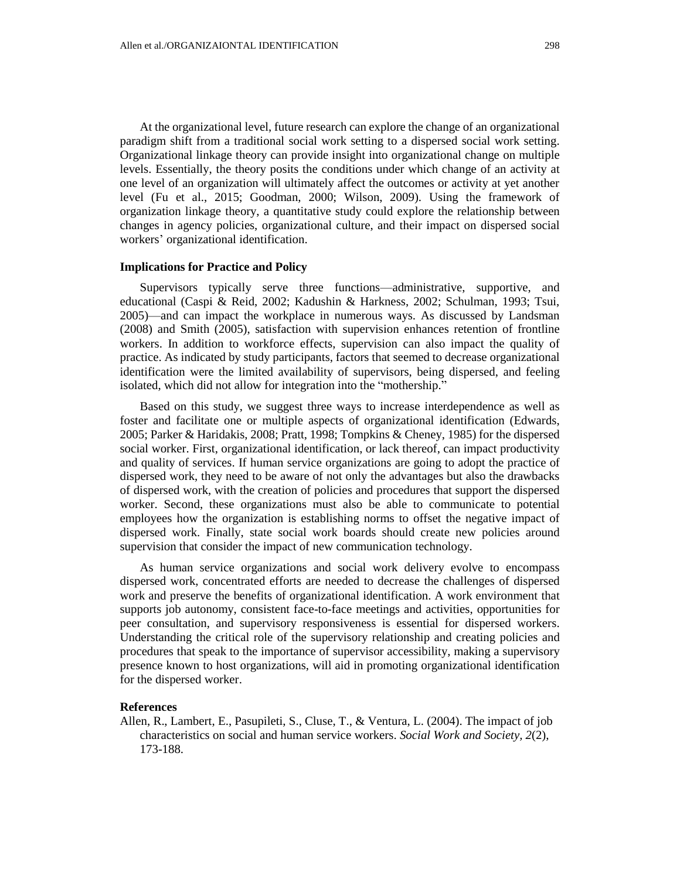At the organizational level, future research can explore the change of an organizational paradigm shift from a traditional social work setting to a dispersed social work setting. Organizational linkage theory can provide insight into organizational change on multiple levels. Essentially, the theory posits the conditions under which change of an activity at one level of an organization will ultimately affect the outcomes or activity at yet another level (Fu et al., 2015; Goodman, 2000; Wilson, 2009). Using the framework of organization linkage theory, a quantitative study could explore the relationship between changes in agency policies, organizational culture, and their impact on dispersed social workers' organizational identification.

#### **Implications for Practice and Policy**

Supervisors typically serve three functions—administrative, supportive, and educational (Caspi & Reid, 2002; Kadushin & Harkness, 2002; Schulman, 1993; Tsui, 2005)—and can impact the workplace in numerous ways. As discussed by Landsman (2008) and Smith (2005), satisfaction with supervision enhances retention of frontline workers. In addition to workforce effects, supervision can also impact the quality of practice. As indicated by study participants, factors that seemed to decrease organizational identification were the limited availability of supervisors, being dispersed, and feeling isolated, which did not allow for integration into the "mothership."

Based on this study, we suggest three ways to increase interdependence as well as foster and facilitate one or multiple aspects of organizational identification (Edwards, 2005; Parker & Haridakis, 2008; Pratt, 1998; Tompkins & Cheney, 1985) for the dispersed social worker. First, organizational identification, or lack thereof, can impact productivity and quality of services. If human service organizations are going to adopt the practice of dispersed work, they need to be aware of not only the advantages but also the drawbacks of dispersed work, with the creation of policies and procedures that support the dispersed worker. Second, these organizations must also be able to communicate to potential employees how the organization is establishing norms to offset the negative impact of dispersed work. Finally, state social work boards should create new policies around supervision that consider the impact of new communication technology.

As human service organizations and social work delivery evolve to encompass dispersed work, concentrated efforts are needed to decrease the challenges of dispersed work and preserve the benefits of organizational identification. A work environment that supports job autonomy, consistent face-to-face meetings and activities, opportunities for peer consultation, and supervisory responsiveness is essential for dispersed workers. Understanding the critical role of the supervisory relationship and creating policies and procedures that speak to the importance of supervisor accessibility, making a supervisory presence known to host organizations, will aid in promoting organizational identification for the dispersed worker.

## **References**

Allen, R., Lambert, E., Pasupileti, S., Cluse, T., & Ventura, L. (2004). The impact of job characteristics on social and human service workers. *Social Work and Society, 2*(2), 173-188.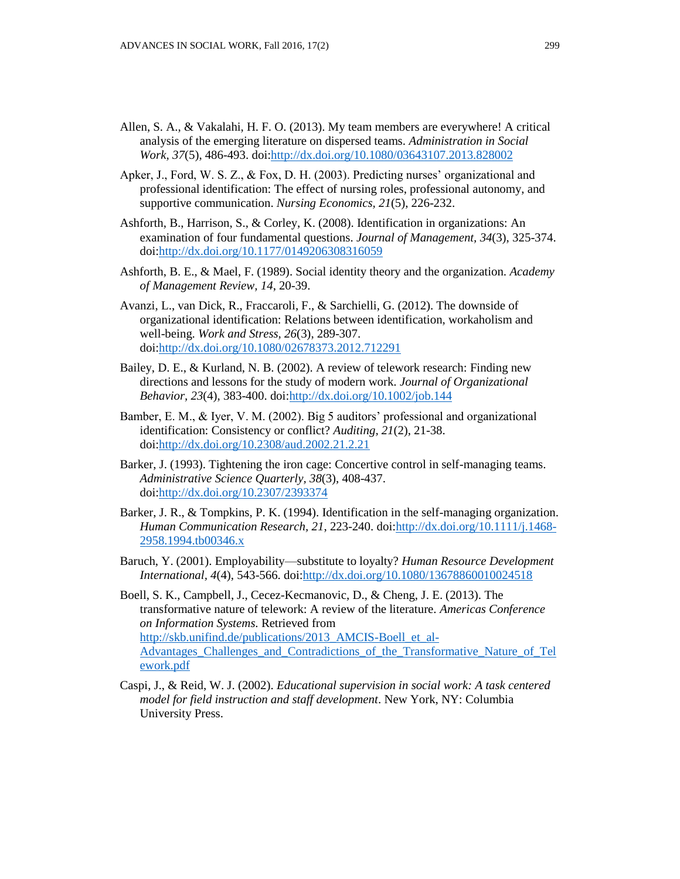- Allen, S. A., & Vakalahi, H. F. O. (2013). My team members are everywhere! A critical analysis of the emerging literature on dispersed teams. *Administration in Social Work, 37*(5), 486-493. doi[:http://dx.doi.org/10.1080/03643107.2013.828002](http://dx.doi.org/10.1080/03643107.2013.828002)
- Apker, J., Ford, W. S. Z., & Fox, D. H. (2003). Predicting nurses' organizational and professional identification: The effect of nursing roles, professional autonomy, and supportive communication. *Nursing Economics, 21*(5), 226-232.
- Ashforth, B., Harrison, S., & Corley, K. (2008). Identification in organizations: An examination of four fundamental questions. *Journal of Management, 34*(3), 325-374. doi[:http://dx.doi.org/10.1177/0149206308316059](http://dx.doi.org/10.1177/0149206308316059)
- Ashforth, B. E., & Mael, F. (1989). Social identity theory and the organization. *Academy of Management Review, 14*, 20-39.
- Avanzi, L., van Dick, R., Fraccaroli, F., & Sarchielli, G. (2012). The downside of organizational identification: Relations between identification, workaholism and well-being. *Work and Stress, 26*(3), 289-307. doi[:http://dx.doi.org/10.1080/02678373.2012.712291](http://dx.doi.org/10.1080/02678373.2012.712291)
- Bailey, D. E., & Kurland, N. B. (2002). A review of telework research: Finding new directions and lessons for the study of modern work. *Journal of Organizational Behavior, 23*(4), 383-400. doi[:http://dx.doi.org/10.1002/job.144](http://dx.doi.org/10.1002/job.144)
- Bamber, E. M., & Iyer, V. M. (2002). Big 5 auditors' professional and organizational identification: Consistency or conflict? *Auditing, 21*(2), 21-38. doi[:http://dx.doi.org/10.2308/aud.2002.21.2.21](http://dx.doi.org/10.2308/aud.2002.21.2.21)
- Barker, J. (1993). Tightening the iron cage: Concertive control in self-managing teams. *Administrative Science Quarterly, 38*(3), 408-437. doi[:http://dx.doi.org/10.2307/2393374](http://dx.doi.org/10.2307/2393374)
- Barker, J. R., & Tompkins, P. K. (1994). Identification in the self-managing organization. *Human Communication Research, 21*, 223-240. doi[:http://dx.doi.org/10.1111/j.1468-](http://dx.doi.org/10.1111/j.1468-2958.1994.tb00346.x) [2958.1994.tb00346.x](http://dx.doi.org/10.1111/j.1468-2958.1994.tb00346.x)
- Baruch, Y. (2001). Employability—substitute to loyalty? *Human Resource Development International, 4*(4), 543-566. doi[:http://dx.doi.org/10.1080/13678860010024518](http://dx.doi.org/10.1080/13678860010024518)

Boell, S. K., Campbell, J., Cecez-Kecmanovic, D., & Cheng, J. E. (2013). The transformative nature of telework: A review of the literature. *Americas Conference on Information Systems.* Retrieved from http://skb.unifind.de/publications/2013 AMCIS-Boell et al-Advantages Challenges and Contradictions of the Transformative Nature of Tel [ework.pdf](http://skb.unifind.de/publications/2013_AMCIS-Boell_et_al-Advantages_Challenges_and_Contradictions_of_the_Transformative_Nature_of_Telework.pdf)

Caspi, J., & Reid, W. J. (2002). *Educational supervision in social work: A task centered model for field instruction and staff development*. New York, NY: Columbia University Press.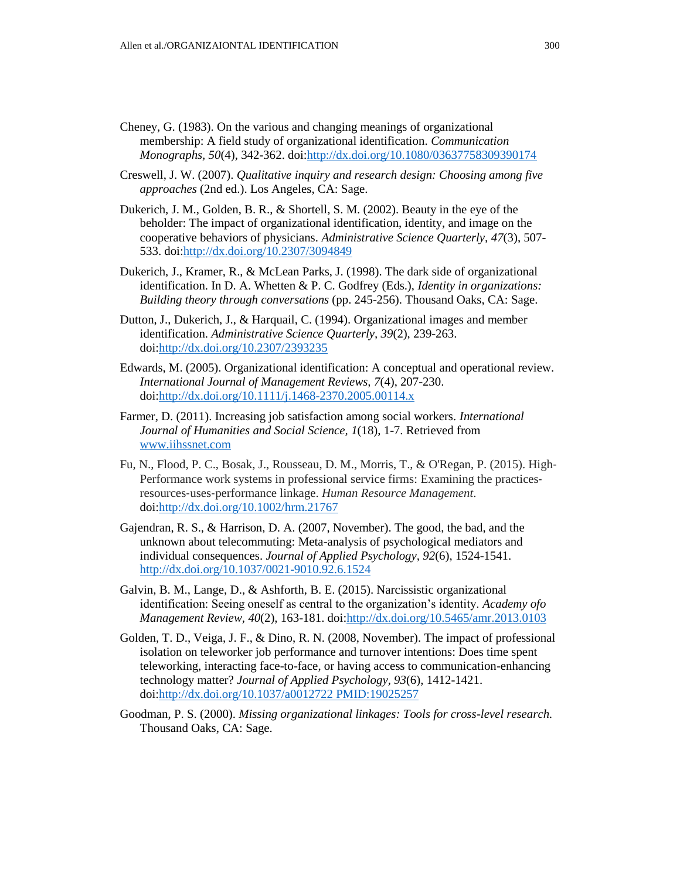- Cheney, G. (1983). On the various and changing meanings of organizational membership: A field study of organizational identification. *Communication Monographs, 50*(4), 342-362. doi[:http://dx.doi.org/10.1080/03637758309390174](http://dx.doi.org/10.1080/03637758309390174)
- Creswell, J. W. (2007). *Qualitative inquiry and research design: Choosing among five approaches* (2nd ed.). Los Angeles, CA: Sage.
- Dukerich, J. M., Golden, B. R., & Shortell, S. M. (2002). Beauty in the eye of the beholder: The impact of organizational identification, identity, and image on the cooperative behaviors of physicians. *Administrative Science Quarterly, 47*(3), 507- 533. doi[:http://dx.doi.org/10.2307/3094849](http://dx.doi.org/10.2307/3094849)
- Dukerich, J., Kramer, R., & McLean Parks, J. (1998). The dark side of organizational identification. In D. A. Whetten & P. C. Godfrey (Eds.), *Identity in organizations: Building theory through conversations* (pp. 245-256). Thousand Oaks, CA: Sage.
- Dutton, J., Dukerich, J., & Harquail, C. (1994). Organizational images and member identification. *Administrative Science Quarterly, 39*(2), 239-263. doi[:http://dx.doi.org/10.2307/2393235](http://dx.doi.org/10.2307/2393235)
- Edwards, M. (2005). Organizational identification: A conceptual and operational review. *International Journal of Management Reviews, 7*(4), 207-230. doi[:http://dx.doi.org/10.1111/j.1468-2370.2005.00114.x](http://dx.doi.org/10.1111/j.1468-2370.2005.00114.x)
- Farmer, D. (2011). Increasing job satisfaction among social workers. *International Journal of Humanities and Social Science, 1*(18), 1-7. Retrieved from [www.iihssnet.com](http://www.iihssnet.com/)
- Fu, N., Flood, P. C., Bosak, J., Rousseau, D. M., Morris, T., & O'Regan, P. (2015). High‐ Performance work systems in professional service firms: Examining the practices‐ resources‐uses‐performance linkage. *Human Resource Management*. doi[:http://dx.doi.org/10.1002/hrm.21767](http://dx.doi.org/10.1002/hrm.21767)
- Gajendran, R. S., & Harrison, D. A. (2007, November). The good, the bad, and the unknown about telecommuting: Meta-analysis of psychological mediators and individual consequences. *Journal of Applied Psychology, 92*(6), 1524-1541. <http://dx.doi.org/10.1037/0021-9010.92.6.1524>
- Galvin, B. M., Lange, D., & Ashforth, B. E. (2015). Narcissistic organizational identification: Seeing oneself as central to the organization's identity. *Academy ofo Management Review, 40*(2), 163-181. doi[:http://dx.doi.org/10.5465/amr.2013.0103](http://dx.doi.org/10.5465/amr.2013.0103)
- Golden, T. D., Veiga, J. F., & Dino, R. N. (2008, November). The impact of professional isolation on teleworker job performance and turnover intentions: Does time spent teleworking, interacting face-to-face, or having access to communication-enhancing technology matter? *Journal of Applied Psychology, 93*(6), 1412-1421. doi[:http://dx.doi.org/10.1037/a0012722 PMID:19025257](http://dx.doi.org/10.1037/a0012722%20PMID:19025257)
- Goodman, P. S. (2000). *Missing organizational linkages: Tools for cross-level research.* Thousand Oaks, CA: Sage.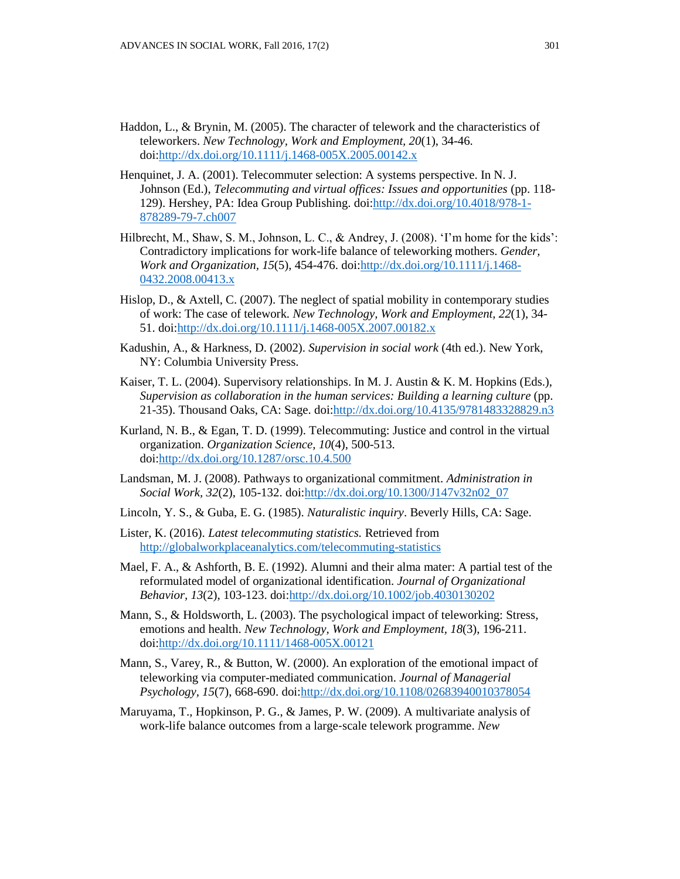- Haddon, L., & Brynin, M. (2005). The character of telework and the characteristics of teleworkers. *New Technology, Work and Employment, 20*(1), 34-46. doi[:http://dx.doi.org/10.1111/j.1468-005X.2005.00142.x](http://dx.doi.org/10.1111/j.1468-005X.2005.00142.x)
- Henquinet, J. A. (2001). Telecommuter selection: A systems perspective. In N. J. Johnson (Ed.), *Telecommuting and virtual offices: Issues and opportunities* (pp. 118- 129). Hershey, PA: Idea Group Publishing. doi[:http://dx.doi.org/10.4018/978-1-](http://dx.doi.org/10.4018/978-1-878289-79-7.ch007) [878289-79-7.ch007](http://dx.doi.org/10.4018/978-1-878289-79-7.ch007)
- Hilbrecht, M., Shaw, S. M., Johnson, L. C., & Andrey, J. (2008). 'I'm home for the kids': Contradictory implications for work-life balance of teleworking mothers. *Gender, Work and Organization, 15*(5), 454-476. doi[:http://dx.doi.org/10.1111/j.1468-](http://dx.doi.org/10.1111/j.1468-0432.2008.00413.x) [0432.2008.00413.x](http://dx.doi.org/10.1111/j.1468-0432.2008.00413.x)
- Hislop, D., & Axtell, C. (2007). The neglect of spatial mobility in contemporary studies of work: The case of telework. *New Technology, Work and Employment, 22*(1), 34- 51. doi[:http://dx.doi.org/10.1111/j.1468-005X.2007.00182.x](http://dx.doi.org/10.1111/j.1468-005X.2007.00182.x)
- Kadushin, A., & Harkness, D. (2002). *Supervision in social work* (4th ed.). New York, NY: Columbia University Press.
- Kaiser, T. L. (2004). Supervisory relationships. In M. J. Austin & K. M. Hopkins (Eds.), *Supervision as collaboration in the human services: Building a learning culture* (pp. 21-35). Thousand Oaks, CA: Sage. doi[:http://dx.doi.org/10.4135/9781483328829.n3](http://dx.doi.org/10.4135/9781483328829.n3)
- Kurland, N. B., & Egan, T. D. (1999). Telecommuting: Justice and control in the virtual organization. *Organization Science, 10*(4), 500-513. doi[:http://dx.doi.org/10.1287/orsc.10.4.500](http://dx.doi.org/10.1287/orsc.10.4.500)
- Landsman, M. J. (2008). Pathways to organizational commitment. *Administration in Social Work, 32*(2), 105-132. doi[:http://dx.doi.org/10.1300/J147v32n02\\_07](http://dx.doi.org/10.1300/J147v32n02_07)
- Lincoln, Y. S., & Guba, E. G. (1985). *Naturalistic inquiry*. Beverly Hills, CA: Sage.
- Lister, K. (2016). *Latest telecommuting statistics.* Retrieved from <http://globalworkplaceanalytics.com/telecommuting-statistics>
- Mael, F. A., & Ashforth, B. E. (1992). Alumni and their alma mater: A partial test of the reformulated model of organizational identification. *Journal of Organizational Behavior, 13*(2), 103-123. doi[:http://dx.doi.org/10.1002/job.4030130202](http://dx.doi.org/10.1002/job.4030130202)
- Mann, S., & Holdsworth, L. (2003). The psychological impact of teleworking: Stress, emotions and health. *New Technology, Work and Employment, 18*(3), 196-211. doi[:http://dx.doi.org/10.1111/1468-005X.00121](http://dx.doi.org/10.1111/1468-005X.00121)
- Mann, S., Varey, R., & Button, W. (2000). An exploration of the emotional impact of teleworking via computer-mediated communication. *Journal of Managerial Psychology, 15*(7), 668-690. doi[:http://dx.doi.org/10.1108/02683940010378054](http://dx.doi.org/10.1108/02683940010378054)
- Maruyama, T., Hopkinson, P. G., & James, P. W. (2009). A multivariate analysis of work-life balance outcomes from a large‐scale telework programme. *New*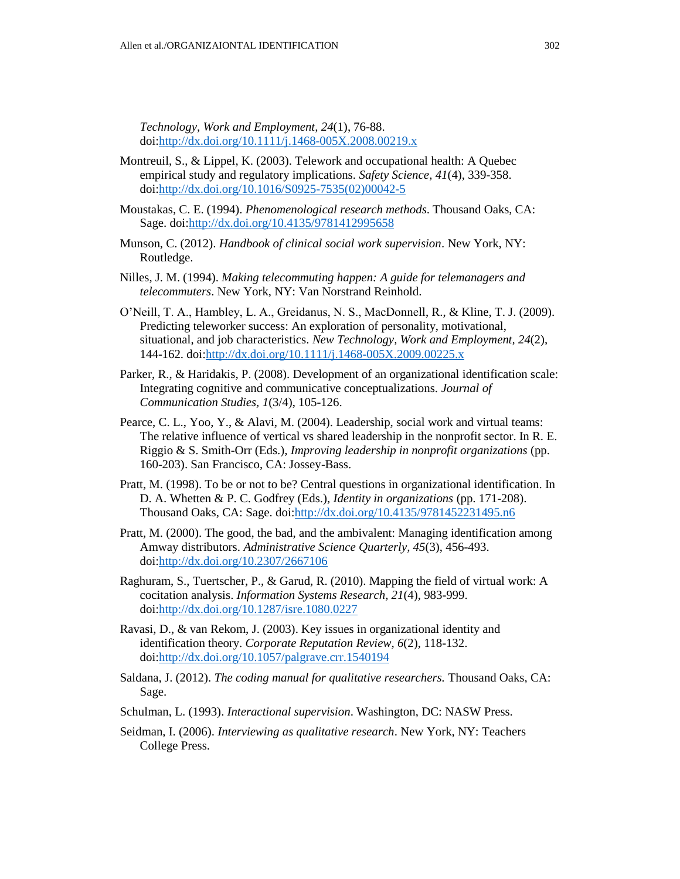*Technology, Work and Employment, 24*(1), 76-88. doi[:http://dx.doi.org/10.1111/j.1468-005X.2008.00219.x](http://dx.doi.org/10.1111/j.1468-005X.2008.00219.x)

- Montreuil, S., & Lippel, K. (2003). Telework and occupational health: A Quebec empirical study and regulatory implications. *Safety Science, 41*(4), 339-358. doi[:http://dx.doi.org/10.1016/S0925-7535\(02\)00042-5](http://dx.doi.org/10.1016/S0925-7535(02)00042-5)
- Moustakas, C. E. (1994). *Phenomenological research methods*. Thousand Oaks, CA: Sage. doi[:http://dx.doi.org/10.4135/9781412995658](http://dx.doi.org/10.4135/9781412995658)
- Munson, C. (2012). *Handbook of clinical social work supervision*. New York, NY: Routledge.
- Nilles, J. M. (1994). *Making telecommuting happen: A guide for telemanagers and telecommuters*. New York, NY: Van Norstrand Reinhold.
- O'Neill, T. A., Hambley, L. A., Greidanus, N. S., MacDonnell, R., & Kline, T. J. (2009). Predicting teleworker success: An exploration of personality, motivational, situational, and job characteristics. *New Technology, Work and Employment, 24*(2), 144-162. doi[:http://dx.doi.org/10.1111/j.1468-005X.2009.00225.x](http://dx.doi.org/10.1111/j.1468-005X.2009.00225.x)
- Parker, R., & Haridakis, P. (2008). Development of an organizational identification scale: Integrating cognitive and communicative conceptualizations. *Journal of Communication Studies, 1*(3/4), 105-126.
- Pearce, C. L., Yoo, Y., & Alavi, M. (2004). Leadership, social work and virtual teams: The relative influence of vertical vs shared leadership in the nonprofit sector. In R. E. Riggio & S. Smith-Orr (Eds.), *Improving leadership in nonprofit organizations* (pp. 160-203). San Francisco, CA: Jossey-Bass.
- Pratt, M. (1998). To be or not to be? Central questions in organizational identification. In D. A. Whetten & P. C. Godfrey (Eds.), *Identity in organizations* (pp. 171-208). Thousand Oaks, CA: Sage. doi[:http://dx.doi.org/10.4135/9781452231495.n6](http://dx.doi.org/10.4135/9781452231495.n6)
- Pratt, M. (2000). The good, the bad, and the ambivalent: Managing identification among Amway distributors. *Administrative Science Quarterly, 45*(3), 456-493. doi[:http://dx.doi.org/10.2307/2667106](http://dx.doi.org/10.2307/2667106)
- Raghuram, S., Tuertscher, P., & Garud, R. (2010). Mapping the field of virtual work: A cocitation analysis. *Information Systems Research, 21*(4), 983-999. doi[:http://dx.doi.org/10.1287/isre.1080.0227](http://dx.doi.org/10.1287/isre.1080.0227)
- Ravasi, D., & van Rekom, J. (2003). Key issues in organizational identity and identification theory. *Corporate Reputation Review, 6*(2), 118-132. doi[:http://dx.doi.org/10.1057/palgrave.crr.1540194](http://dx.doi.org/10.1057/palgrave.crr.1540194)
- Saldana, J. (2012). *The coding manual for qualitative researchers.* Thousand Oaks, CA: Sage.
- Schulman, L. (1993). *Interactional supervision*. Washington, DC: NASW Press.
- Seidman, I. (2006). *Interviewing as qualitative research*. New York, NY: Teachers College Press.